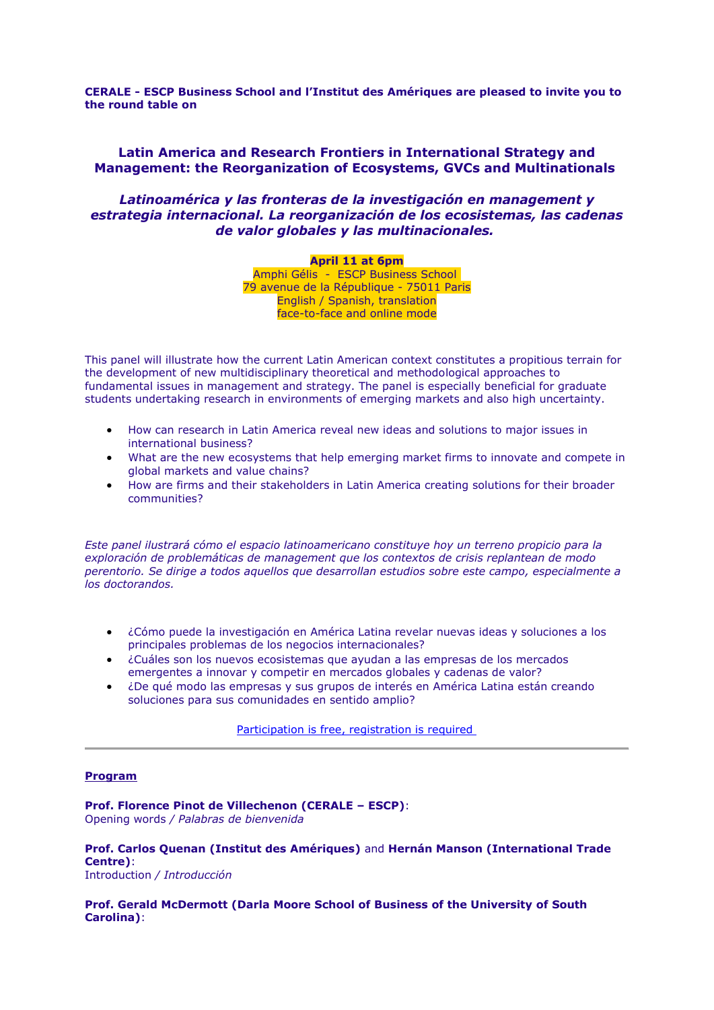**CERALE - ESCP Business School and l'Institut des Amériques are pleased to invite you to the round table on**

# **Latin America and Research Frontiers in International Strategy and Management: the Reorganization of Ecosystems, GVCs and Multinationals**

## *Latinoamérica y las fronteras de la investigación en management y estrategia internacional. La reorganización de los ecosistemas, las cadenas de valor globales y las multinacionales.*

#### **April 11 at 6pm**

Amphi Gélis - ESCP Business School 79 avenue de la République - 75011 Paris English / Spanish, translation face-to-face and online mode

This panel will illustrate how the current Latin American context constitutes a propitious terrain for the development of new multidisciplinary theoretical and methodological approaches to fundamental issues in management and strategy. The panel is especially beneficial for graduate students undertaking research in environments of emerging markets and also high uncertainty.

- How can research in Latin America reveal new ideas and solutions to major issues in international business?
- What are the new ecosystems that help emerging market firms to innovate and compete in global markets and value chains?
- How are firms and their stakeholders in Latin America creating solutions for their broader communities?

*Este panel ilustrará cómo el espacio latinoamericano constituye hoy un terreno propicio para la exploración de problemáticas de management que los contextos de crisis replantean de modo perentorio. Se dirige a todos aquellos que desarrollan estudios sobre este campo, especialmente a los doctorandos.*

- ¿Cómo puede la investigación en América Latina revelar nuevas ideas y soluciones a los principales problemas de los negocios internacionales?
- ¿Cuáles son los nuevos ecosistemas que ayudan a las empresas de los mercados emergentes a innovar y competir en mercados globales y cadenas de valor?
- ¿De qué modo las empresas y sus grupos de interés en América Latina están creando soluciones para sus comunidades en sentido amplio?

[Participation is free, registration is required](http://lime.i-campus.fr/index.php/999443/lang-en)

### **Program**

**Prof. Florence Pinot de Villechenon (CERALE – ESCP)**: Opening words */ Palabras de bienvenida*

**Prof. Carlos Quenan (Institut des Amériques)** and **Hernán Manson (International Trade Centre)**: Introduction */ Introducción*

**Prof. Gerald McDermott (Darla Moore School of Business of the University of South Carolina)**: